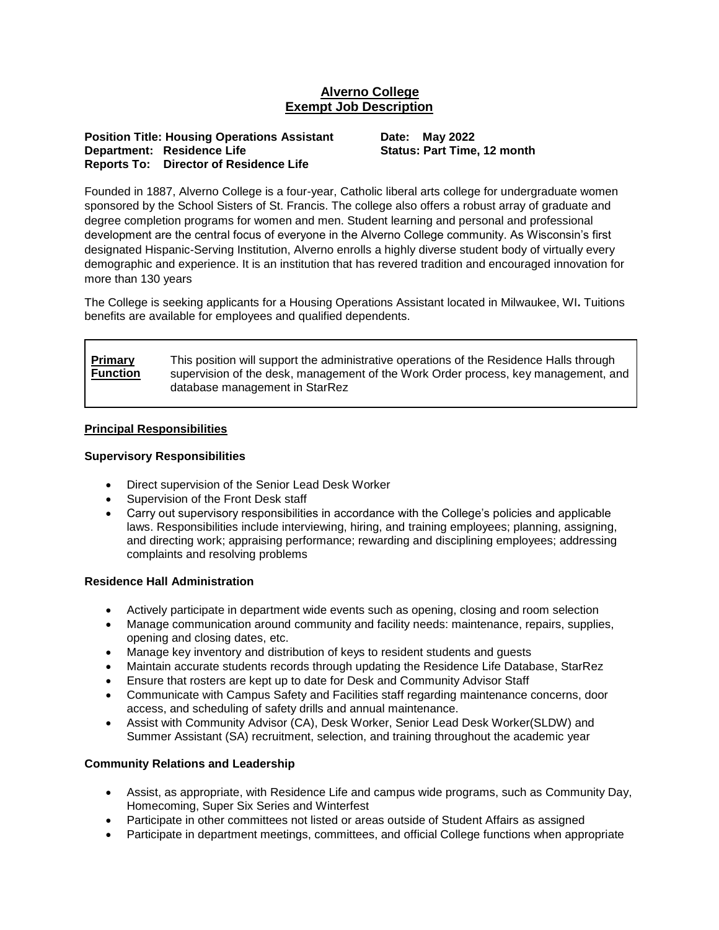# **Alverno College Exempt Job Description**

**Position Title: Housing Operations Assistant Date: May 2022 Department: Residence Life Status: Part Time, 12 month Reports To: Director of Residence Life**

Founded in 1887, Alverno College is a four-year, Catholic liberal arts college for undergraduate women sponsored by the School Sisters of St. Francis. The college also offers a robust array of graduate and degree completion programs for women and men. Student learning and personal and professional development are the central focus of everyone in the Alverno College community. As Wisconsin's first designated Hispanic-Serving Institution, Alverno enrolls a highly diverse student body of virtually every demographic and experience. It is an institution that has revered tradition and encouraged innovation for more than 130 years

The College is seeking applicants for a Housing Operations Assistant located in Milwaukee, WI**.** Tuitions benefits are available for employees and qualified dependents.

### **Primary Function**

This position will support the administrative operations of the Residence Halls through supervision of the desk, management of the Work Order process, key management, and database management in StarRez

### **Principal Responsibilities**

#### **Supervisory Responsibilities**

- Direct supervision of the Senior Lead Desk Worker
- Supervision of the Front Desk staff
- Carry out supervisory responsibilities in accordance with the College's policies and applicable laws. Responsibilities include interviewing, hiring, and training employees; planning, assigning, and directing work; appraising performance; rewarding and disciplining employees; addressing complaints and resolving problems

# **Residence Hall Administration**

- Actively participate in department wide events such as opening, closing and room selection
- Manage communication around community and facility needs: maintenance, repairs, supplies, opening and closing dates, etc.
- Manage key inventory and distribution of keys to resident students and guests
- Maintain accurate students records through updating the Residence Life Database, StarRez
- Ensure that rosters are kept up to date for Desk and Community Advisor Staff
- Communicate with Campus Safety and Facilities staff regarding maintenance concerns, door access, and scheduling of safety drills and annual maintenance.
- Assist with Community Advisor (CA), Desk Worker, Senior Lead Desk Worker(SLDW) and Summer Assistant (SA) recruitment, selection, and training throughout the academic year

### **Community Relations and Leadership**

- Assist, as appropriate, with Residence Life and campus wide programs, such as Community Day, Homecoming, Super Six Series and Winterfest
- Participate in other committees not listed or areas outside of Student Affairs as assigned
- Participate in department meetings, committees, and official College functions when appropriate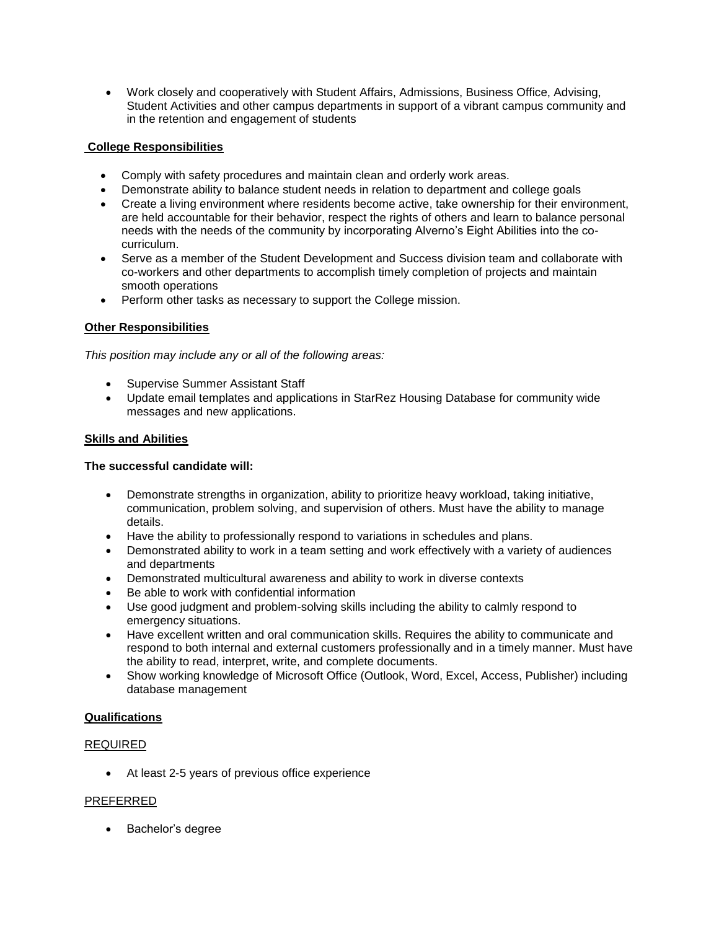Work closely and cooperatively with Student Affairs, Admissions, Business Office, Advising, Student Activities and other campus departments in support of a vibrant campus community and in the retention and engagement of students

### **College Responsibilities**

- Comply with safety procedures and maintain clean and orderly work areas.
- Demonstrate ability to balance student needs in relation to department and college goals
- Create a living environment where residents become active, take ownership for their environment, are held accountable for their behavior, respect the rights of others and learn to balance personal needs with the needs of the community by incorporating Alverno's Eight Abilities into the cocurriculum.
- Serve as a member of the Student Development and Success division team and collaborate with co-workers and other departments to accomplish timely completion of projects and maintain smooth operations
- Perform other tasks as necessary to support the College mission.

## **Other Responsibilities**

*This position may include any or all of the following areas:*

- Supervise Summer Assistant Staff
- Update email templates and applications in StarRez Housing Database for community wide messages and new applications.

### **Skills and Abilities**

### **The successful candidate will:**

- Demonstrate strengths in organization, ability to prioritize heavy workload, taking initiative, communication, problem solving, and supervision of others. Must have the ability to manage details.
- Have the ability to professionally respond to variations in schedules and plans.
- Demonstrated ability to work in a team setting and work effectively with a variety of audiences and departments
- Demonstrated multicultural awareness and ability to work in diverse contexts
- Be able to work with confidential information
- Use good judgment and problem-solving skills including the ability to calmly respond to emergency situations.
- Have excellent written and oral communication skills. Requires the ability to communicate and respond to both internal and external customers professionally and in a timely manner. Must have the ability to read, interpret, write, and complete documents.
- Show working knowledge of Microsoft Office (Outlook, Word, Excel, Access, Publisher) including database management

### **Qualifications**

### REQUIRED

At least 2-5 years of previous office experience

### PREFERRED

• Bachelor's degree